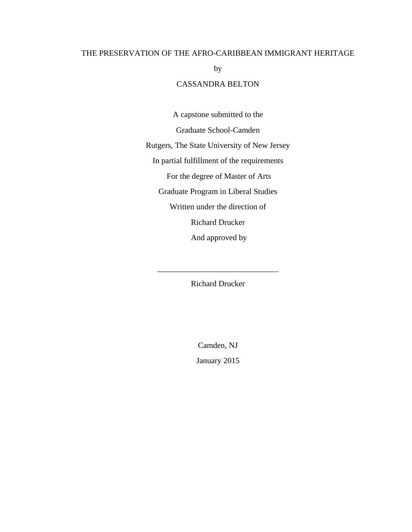## THE PRESERVATION OF THE AFRO-CARIBBEAN IMMIGRANT HERITAGE

by

### CASSANDRA BELTON

A capstone submitted to the Graduate School-Camden Rutgers, The State University of New Jersey In partial fulfillment of the requirements For the degree of Master of Arts Graduate Program in Liberal Studies Written under the direction of Richard Drucker And approved by

Richard Drucker

\_\_\_\_\_\_\_\_\_\_\_\_\_\_\_\_\_\_\_\_\_\_\_\_\_\_\_\_\_\_

Camden, NJ

January 2015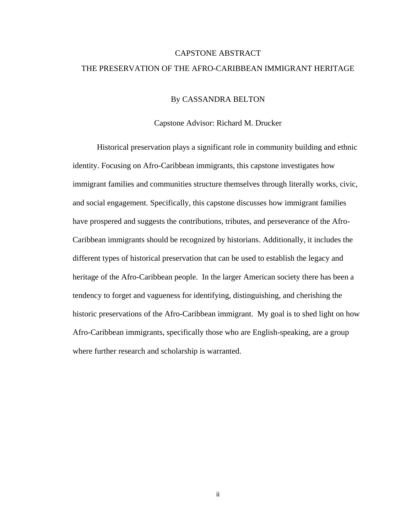# CAPSTONE ABSTRACT THE PRESERVATION OF THE AFRO-CARIBBEAN IMMIGRANT HERITAGE

### By CASSANDRA BELTON

### Capstone Advisor: Richard M. Drucker

Historical preservation plays a significant role in community building and ethnic identity. Focusing on Afro-Caribbean immigrants, this capstone investigates how immigrant families and communities structure themselves through literally works, civic, and social engagement. Specifically, this capstone discusses how immigrant families have prospered and suggests the contributions, tributes, and perseverance of the Afro-Caribbean immigrants should be recognized by historians. Additionally, it includes the different types of historical preservation that can be used to establish the legacy and heritage of the Afro-Caribbean people. In the larger American society there has been a tendency to forget and vagueness for identifying, distinguishing, and cherishing the historic preservations of the Afro-Caribbean immigrant. My goal is to shed light on how Afro-Caribbean immigrants, specifically those who are English-speaking, are a group where further research and scholarship is warranted.

ii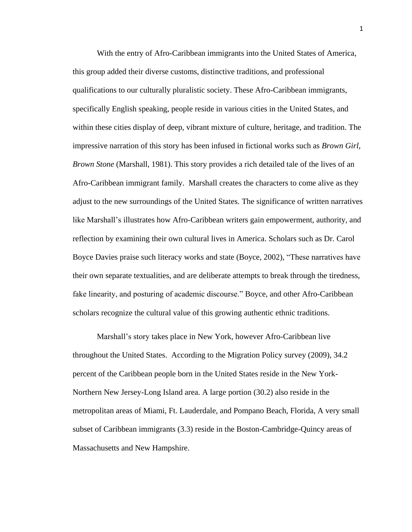With the entry of Afro-Caribbean immigrants into the United States of America, this group added their diverse customs, distinctive traditions, and professional qualifications to our culturally pluralistic society. These Afro-Caribbean immigrants, specifically English speaking, people reside in various cities in the United States, and within these cities display of deep, vibrant mixture of culture, heritage, and tradition. The impressive narration of this story has been infused in fictional works such as *Brown Girl, Brown Stone* (Marshall, 1981). This story provides a rich detailed tale of the lives of an Afro-Caribbean immigrant family. Marshall creates the characters to come alive as they adjust to the new surroundings of the United States. The significance of written narratives like Marshall's illustrates how Afro-Caribbean writers gain empowerment, authority, and reflection by examining their own cultural lives in America. Scholars such as Dr. Carol Boyce Davies praise such literacy works and state (Boyce, 2002), "These narratives have their own separate textualities, and are deliberate attempts to break through the tiredness, fake linearity, and posturing of academic discourse." Boyce, and other Afro-Caribbean scholars recognize the cultural value of this growing authentic ethnic traditions.

Marshall's story takes place in New York, however Afro-Caribbean live throughout the United States. According to the Migration Policy survey (2009), 34.2 percent of the Caribbean people born in the United States reside in the New York-Northern New Jersey-Long Island area. A large portion (30.2) also reside in the metropolitan areas of Miami, Ft. Lauderdale, and Pompano Beach, Florida, A very small subset of Caribbean immigrants (3.3) reside in the Boston-Cambridge-Quincy areas of Massachusetts and New Hampshire.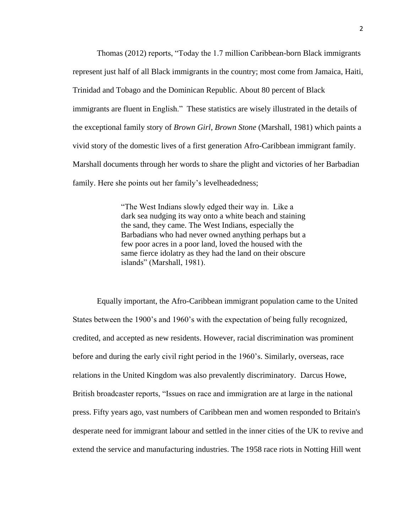Thomas (2012) reports, "Today the 1.7 million Caribbean-born Black immigrants represent just half of all Black immigrants in the country; most come from Jamaica, Haiti, Trinidad and Tobago and the Dominican Republic. About 80 percent of Black immigrants are fluent in English." These statistics are wisely illustrated in the details of the exceptional family story of *Brown Girl, Brown Stone* (Marshall, 1981) which paints a vivid story of the domestic lives of a first generation Afro-Caribbean immigrant family. Marshall documents through her words to share the plight and victories of her Barbadian family. Here she points out her family's levelheadedness;

> "The West Indians slowly edged their way in. Like a dark sea nudging its way onto a white beach and staining the sand, they came. The West Indians, especially the Barbadians who had never owned anything perhaps but a few poor acres in a poor land, loved the housed with the same fierce idolatry as they had the land on their obscure islands" (Marshall, 1981).

Equally important, the Afro-Caribbean immigrant population came to the United States between the 1900's and 1960's with the expectation of being fully recognized, credited, and accepted as new residents. However, racial discrimination was prominent before and during the early civil right period in the 1960's. Similarly, overseas, race relations in the United Kingdom was also prevalently discriminatory. Darcus Howe, British broadcaster reports, "Issues on race and immigration are at large in the national press. Fifty years ago, vast numbers of Caribbean men and women responded to Britain's desperate need for immigrant labour and settled in the inner cities of the UK to revive and extend the service and manufacturing industries. The 1958 race riots in Notting Hill went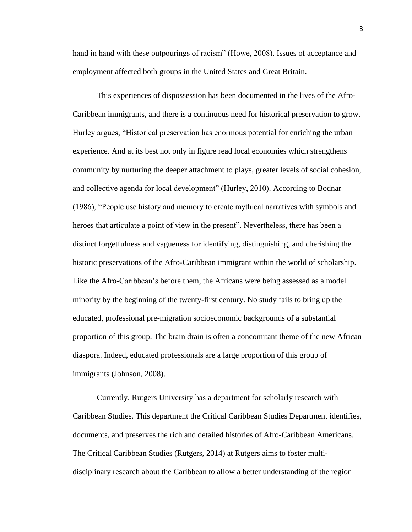hand in hand with these outpourings of racism" (Howe, 2008). Issues of acceptance and employment affected both groups in the United States and Great Britain.

This experiences of dispossession has been documented in the lives of the Afro-Caribbean immigrants, and there is a continuous need for historical preservation to grow. Hurley argues, "Historical preservation has enormous potential for enriching the urban experience. And at its best not only in figure read local economies which strengthens community by nurturing the deeper attachment to plays, greater levels of social cohesion, and collective agenda for local development" (Hurley, 2010). According to Bodnar (1986), "People use history and memory to create mythical narratives with symbols and heroes that articulate a point of view in the present". Nevertheless, there has been a distinct forgetfulness and vagueness for identifying, distinguishing, and cherishing the historic preservations of the Afro-Caribbean immigrant within the world of scholarship. Like the Afro-Caribbean's before them, the Africans were being assessed as a model minority by the beginning of the twenty-first century. No study fails to bring up the educated, professional pre-migration socioeconomic backgrounds of a substantial proportion of this group. The brain drain is often a concomitant theme of the new African diaspora. Indeed, educated professionals are a large proportion of this group of immigrants (Johnson, 2008).

Currently, Rutgers University has a department for scholarly research with Caribbean Studies. This department the Critical Caribbean Studies Department identifies, documents, and preserves the rich and detailed histories of Afro-Caribbean Americans. The Critical Caribbean Studies (Rutgers, 2014) at Rutgers aims to foster multidisciplinary research about the Caribbean to allow a better understanding of the region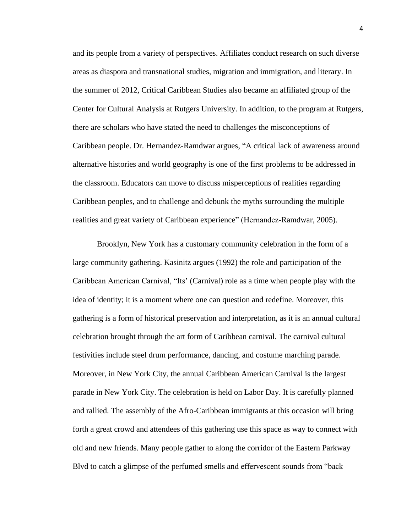and its people from a variety of perspectives. Affiliates conduct research on such diverse areas as diaspora and transnational studies, migration and immigration, and literary. In the summer of 2012, Critical Caribbean Studies also became an affiliated group of the Center for Cultural Analysis at Rutgers University. In addition, to the program at Rutgers, there are scholars who have stated the need to challenges the misconceptions of Caribbean people. Dr. Hernandez-Ramdwar argues, "A critical lack of awareness around alternative histories and world geography is one of the first problems to be addressed in the classroom. Educators can move to discuss misperceptions of realities regarding Caribbean peoples, and to challenge and debunk the myths surrounding the multiple realities and great variety of Caribbean experience" (Hernandez-Ramdwar, 2005).

Brooklyn, New York has a customary community celebration in the form of a large community gathering. Kasinitz argues (1992) the role and participation of the Caribbean American Carnival, "Its' (Carnival) role as a time when people play with the idea of identity; it is a moment where one can question and redefine. Moreover, this gathering is a form of historical preservation and interpretation, as it is an annual cultural celebration brought through the art form of Caribbean carnival. The carnival cultural festivities include steel drum performance, dancing, and costume marching parade. Moreover, in New York City, the annual Caribbean American Carnival is the largest parade in New York City. The celebration is held on Labor Day. It is carefully planned and rallied. The assembly of the Afro-Caribbean immigrants at this occasion will bring forth a great crowd and attendees of this gathering use this space as way to connect with old and new friends. Many people gather to along the corridor of the Eastern Parkway Blvd to catch a glimpse of the perfumed smells and effervescent sounds from "back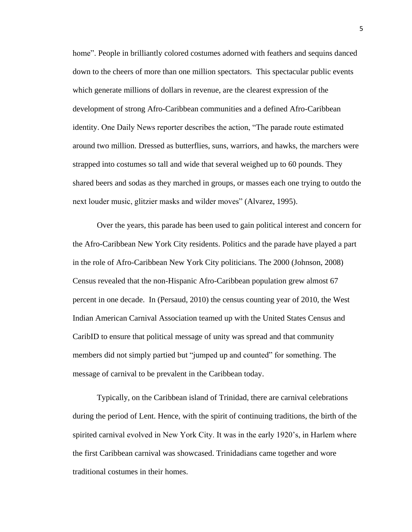home". People in brilliantly colored costumes adorned with feathers and sequins danced down to the cheers of more than one million spectators. This spectacular public events which generate millions of dollars in revenue, are the clearest expression of the development of strong Afro-Caribbean communities and a defined Afro-Caribbean identity. One Daily News reporter describes the action, "The parade route estimated around two million. Dressed as butterflies, suns, warriors, and hawks, the marchers were strapped into costumes so tall and wide that several weighed up to 60 pounds. They shared beers and sodas as they marched in groups, or masses each one trying to outdo the next louder music, glitzier masks and wilder moves" (Alvarez, 1995).

Over the years, this parade has been used to gain political interest and concern for the Afro-Caribbean New York City residents. Politics and the parade have played a part in the role of Afro-Caribbean New York City politicians. The 2000 (Johnson, 2008) Census revealed that the non-Hispanic Afro-Caribbean population grew almost 67 percent in one decade. In (Persaud, 2010) the census counting year of 2010, the West Indian American Carnival Association teamed up with the United States Census and CaribID to ensure that political message of unity was spread and that community members did not simply partied but "jumped up and counted" for something. The message of carnival to be prevalent in the Caribbean today.

Typically, on the Caribbean island of Trinidad, there are carnival celebrations during the period of Lent. Hence, with the spirit of continuing traditions, the birth of the spirited carnival evolved in New York City. It was in the early 1920's, in Harlem where the first Caribbean carnival was showcased. Trinidadians came together and wore traditional costumes in their homes.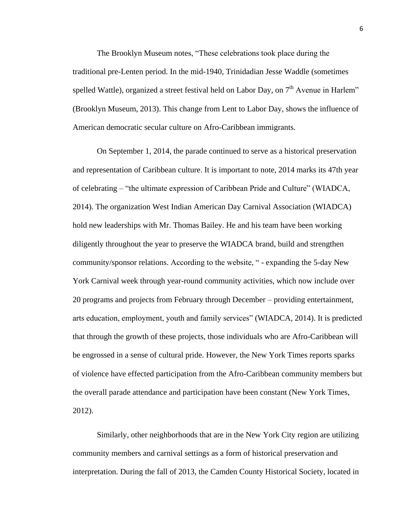The Brooklyn Museum notes, "These celebrations took place during the traditional pre-Lenten period. In the mid-1940, Trinidadian Jesse Waddle (sometimes spelled Wattle), organized a street festival held on Labor Day, on  $7<sup>th</sup>$  Avenue in Harlem" (Brooklyn Museum, 2013). This change from Lent to Labor Day, shows the influence of American democratic secular culture on Afro-Caribbean immigrants.

On September 1, 2014, the parade continued to serve as a historical preservation and representation of Caribbean culture. It is important to note, 2014 marks its 47th year of celebrating – "the ultimate expression of Caribbean Pride and Culture" (WIADCA, 2014). The organization West Indian American Day Carnival Association (WIADCA) hold new leaderships with Mr. Thomas Bailey. He and his team have been working diligently throughout the year to preserve the WIADCA brand, build and strengthen community/sponsor relations. According to the website, " - expanding the 5-day New York Carnival week through year-round community activities, which now include over 20 programs and projects from February through December – providing entertainment, arts education, employment, youth and family services" (WIADCA, 2014). It is predicted that through the growth of these projects, those individuals who are Afro-Caribbean will be engrossed in a sense of cultural pride. However, the New York Times reports sparks of violence have effected participation from the Afro-Caribbean community members but the overall parade attendance and participation have been constant (New York Times, 2012).

Similarly, other neighborhoods that are in the New York City region are utilizing community members and carnival settings as a form of historical preservation and interpretation. During the fall of 2013, the Camden County Historical Society, located in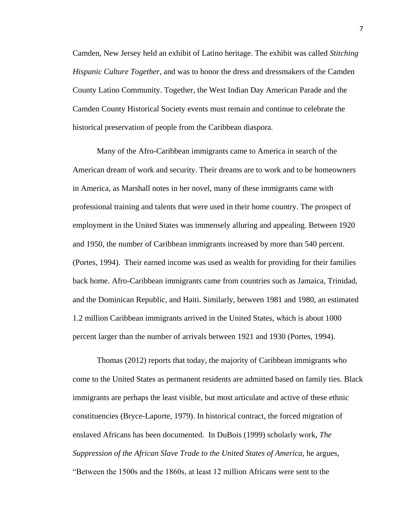Camden, New Jersey held an exhibit of Latino heritage. The exhibit was called *Stitching Hispanic Culture Together,* and was to honor the dress and dressmakers of the Camden County Latino Community. Together, the West Indian Day American Parade and the Camden County Historical Society events must remain and continue to celebrate the historical preservation of people from the Caribbean diaspora.

Many of the Afro-Caribbean immigrants came to America in search of the American dream of work and security. Their dreams are to work and to be homeowners in America, as Marshall notes in her novel, many of these immigrants came with professional training and talents that were used in their home country. The prospect of employment in the United States was immensely alluring and appealing. Between 1920 and 1950, the number of Caribbean immigrants increased by more than 540 percent. (Portes, 1994). Their earned income was used as wealth for providing for their families back home. Afro-Caribbean immigrants came from countries such as Jamaica, Trinidad, and the Dominican Republic, and Haiti. Similarly, between 1981 and 1980, an estimated 1.2 million Caribbean immigrants arrived in the United States, which is about 1000 percent larger than the number of arrivals between 1921 and 1930 (Portes, 1994).

Thomas (2012) reports that today, the majority of Caribbean immigrants who come to the United States as permanent residents are admitted based on family ties. Black immigrants are perhaps the least visible, but most articulate and active of these ethnic constituencies (Bryce-Laporte, 1979). In historical contract, the forced migration of enslaved Africans has been documented. In DuBois (1999) scholarly work, *The Suppression of the African Slave Trade to the United States of America,* he argues, "Between the 1500s and the 1860s, at least 12 million Africans were sent to the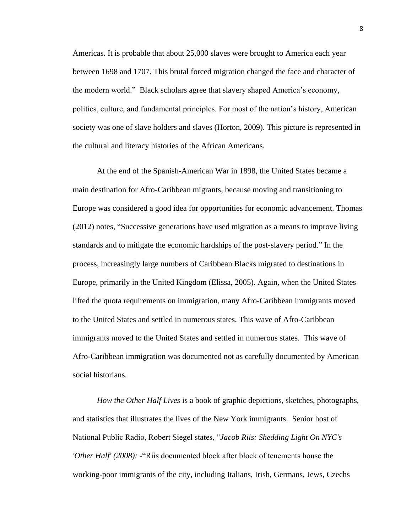Americas. It is probable that about 25,000 slaves were brought to America each year between 1698 and 1707. This brutal forced migration changed the face and character of the modern world." Black scholars agree that slavery shaped America's economy, politics, culture, and fundamental principles. For most of the nation's history, American society was one of slave holders and slaves (Horton, 2009). This picture is represented in the cultural and literacy histories of the African Americans.

At the end of the Spanish-American War in 1898, the United States became a main destination for Afro-Caribbean migrants, because moving and transitioning to Europe was considered a good idea for opportunities for economic advancement. Thomas (2012) notes, "Successive generations have used migration as a means to improve living standards and to mitigate the economic hardships of the post-slavery period." In the process, increasingly large numbers of Caribbean Blacks migrated to destinations in Europe, primarily in the United Kingdom (Elissa, 2005). Again, when the United States lifted the quota requirements on immigration, many Afro-Caribbean immigrants moved to the United States and settled in numerous states. This wave of Afro-Caribbean immigrants moved to the United States and settled in numerous states. This wave of Afro-Caribbean immigration was documented not as carefully documented by American social historians.

*How the Other Half Lives* is a book of graphic depictions, sketches, photographs, and statistics that illustrates the lives of the New York immigrants. Senior host of National Public Radio, Robert Siegel states, "*Jacob Riis: Shedding Light On NYC's 'Other Half' (2008): -*"Riis documented block after block of tenements house the working-poor immigrants of the city, including Italians, Irish, Germans, Jews, Czechs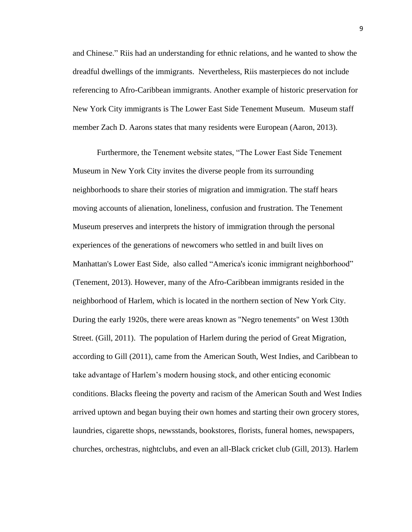and Chinese." Riis had an understanding for ethnic relations, and he wanted to show the dreadful dwellings of the immigrants. Nevertheless, Riis masterpieces do not include referencing to Afro-Caribbean immigrants. Another example of historic preservation for New York City immigrants is The Lower East Side Tenement Museum. Museum staff member Zach D. Aarons states that many residents were European (Aaron, 2013).

Furthermore, the Tenement website states, "The Lower East Side Tenement Museum in New York City invites the diverse people from its surrounding neighborhoods to share their stories of migration and immigration. The staff hears moving accounts of alienation, loneliness, confusion and frustration. The Tenement Museum preserves and interprets the history of immigration through the personal experiences of the generations of newcomers who settled in and built lives on Manhattan's Lower East Side, also called "America's iconic immigrant neighborhood" (Tenement, 2013). However, many of the Afro-Caribbean immigrants resided in the neighborhood of Harlem, which is located in the northern section of New York City. During the early 1920s, there were areas known as "Negro tenements" on West 130th Street. (Gill, 2011). The population of Harlem during the period of Great Migration, according to Gill (2011), came from the American South, West Indies, and Caribbean to take advantage of Harlem's modern housing stock, and other enticing economic conditions. Blacks fleeing the poverty and racism of the American South and West Indies arrived uptown and began buying their own homes and starting their own grocery stores, laundries, cigarette shops, newsstands, bookstores, florists, funeral homes, newspapers, churches, orchestras, nightclubs, and even an all-Black cricket club (Gill, 2013). Harlem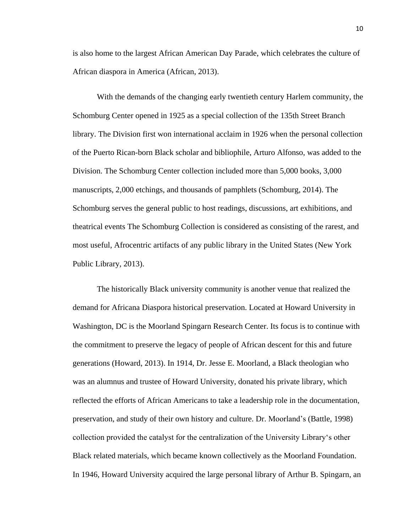is also home to the largest African American Day Parade, which celebrates the culture of African diaspora in America (African, 2013).

With the demands of the changing early twentieth century Harlem community, the Schomburg Center opened in 1925 as a special collection of the 135th Street Branch library. The Division first won international acclaim in 1926 when the personal collection of the Puerto Rican-born Black scholar and bibliophile, Arturo Alfonso, was added to the Division. The Schomburg Center collection included more than 5,000 books, 3,000 manuscripts, 2,000 etchings, and thousands of pamphlets (Schomburg, 2014). The Schomburg serves the general public to host readings, discussions, art exhibitions, and theatrical events The Schomburg Collection is considered as consisting of the rarest, and most useful, [Afrocentric](http://en.wikipedia.org/wiki/Afrocentrism) artifacts of any public library in the United States (New York Public Library, 2013).

The historically Black university community is another venue that realized the demand for Africana Diaspora historical preservation. Located at Howard University in Washington, DC is the Moorland Spingarn Research Center. Its focus is to continue with the commitment to preserve the legacy of people of African descent for this and future generations (Howard, 2013). In 1914, Dr. Jesse E. Moorland, a Black theologian who was an alumnus and trustee of Howard University, donated his private library, which reflected the efforts of African Americans to take a leadership role in the documentation, preservation, and study of their own history and culture. Dr. Moorland's (Battle, 1998) collection provided the catalyst for the centralization of the University Library's other Black related materials, which became known collectively as the Moorland Foundation. In 1946, Howard University acquired the large personal library of Arthur B. Spingarn, an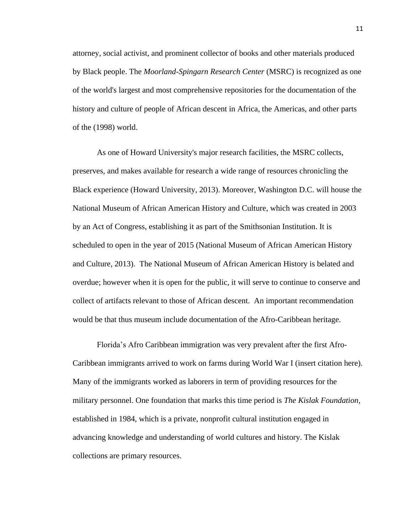attorney, social activist, and prominent collector of books and other materials produced by Black people. The *Moorland-Spingarn Research Center* (MSRC) is recognized as one of the world's largest and most comprehensive repositories for the documentation of the history and culture of people of African descent in Africa, the Americas, and other parts of the (1998) world.

As one of Howard University's major research facilities, the MSRC collects, preserves, and makes available for research a wide range of resources chronicling the Black experience (Howard University, 2013). Moreover, Washington D.C. will house the National Museum of African American History and Culture, which was created in 2003 by an Act of Congress, establishing it as part of the Smithsonian Institution. It is scheduled to open in the year of 2015 (National Museum of African American History and Culture, 2013). The National Museum of African American History is belated and overdue; however when it is open for the public, it will serve to continue to conserve and [collect](http://en.wikipedia.org/wiki/Collection_%28museum%29) of artifacts relevant to those of African descent. An important recommendation would be that thus museum include documentation of the Afro-Caribbean heritage.

Florida's Afro Caribbean immigration was very prevalent after the first Afro-Caribbean immigrants arrived to work on farms during World War I (insert citation here). Many of the immigrants worked as laborers in term of providing resources for the military personnel. One foundation that marks this time period is *The Kislak Foundation,*  established in 1984, which is a private, nonprofit cultural institution engaged in advancing knowledge and understanding of world cultures and history. The Kislak collections are primary resources.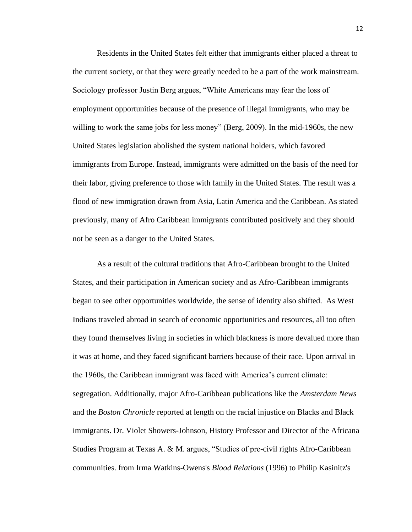Residents in the United States felt either that immigrants either placed a threat to the current society, or that they were greatly needed to be a part of the work mainstream. Sociology professor Justin Berg argues, "White Americans may fear the loss of employment opportunities because of the presence of illegal immigrants, who may be willing to work the same jobs for less money" (Berg, 2009). In the mid-1960s, the new United States legislation abolished the system national holders, which favored immigrants from Europe. Instead, immigrants were admitted on the basis of the need for their labor, giving preference to those with family in the United States. The result was a flood of new immigration drawn from Asia, Latin America and the Caribbean. As stated previously, many of Afro Caribbean immigrants contributed positively and they should not be seen as a danger to the United States.

As a result of the cultural traditions that Afro-Caribbean brought to the United States, and their participation in American society and as Afro-Caribbean immigrants began to see other opportunities worldwide, the sense of identity also shifted. As West Indians traveled abroad in search of economic opportunities and resources, all too often they found themselves living in societies in which blackness is more devalued more than it was at home, and they faced significant barriers because of their race. Upon arrival in the 1960s, the Caribbean immigrant was faced with America's current climate: segregation. Additionally, major Afro-Caribbean publications like the *Amsterdam News* and the *Boston Chronicle* reported at length on the racial injustice on Blacks and Black immigrants. Dr. Violet Showers-Johnson, History Professor and Director of the Africana Studies Program at Texas A. & M. argues, "Studies of pre-civil rights Afro-Caribbean communities. from Irma Watkins-Owens's *Blood Relations* (1996) to Philip Kasinitz's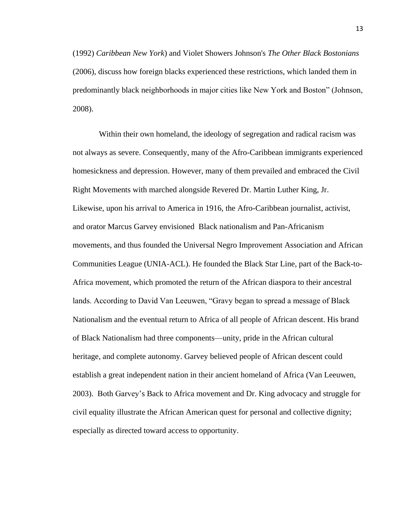(1992) *Caribbean New York*) and Violet Showers Johnson's *The Other Black Bostonians* (2006), discuss how foreign blacks experienced these restrictions, which landed them in predominantly black neighborhoods in major cities like New York and Boston" (Johnson, 2008).

Within their own homeland, the ideology of segregation and radical racism was not always as severe. Consequently, many of the Afro-Caribbean immigrants experienced homesickness and depression. However, many of them prevailed and embraced the Civil Right Movements with marched alongside Revered Dr. Martin Luther King, Jr. Likewise, upon his arrival to America in 1916, the Afro-Caribbean journalist, activist, and orator Marcus Garvey envisioned [Black nationalism](http://en.wikipedia.org/wiki/Black_nationalism) and [Pan-Africanism](http://en.wikipedia.org/wiki/Pan-Africanism) movements, and thus founded the Universal Negro Improvement Association and African Communities League [\(UNIA-ACL\)](http://en.wikipedia.org/wiki/UNIA-ACL). He founded the [Black Star Line,](http://en.wikipedia.org/wiki/Black_Star_Line) part of the [Back-to-](http://en.wikipedia.org/wiki/Back-to-Africa_movement)[Africa movement,](http://en.wikipedia.org/wiki/Back-to-Africa_movement) which promoted the return of the [African diaspora](http://en.wikipedia.org/wiki/African_diaspora) to their ancestral lands. According to David Van Leeuwen, "Gravy began to spread a message of Black Nationalism and the eventual return to Africa of all people of African descent. His brand of Black Nationalism had three components—unity, pride in the African cultural heritage, and complete autonomy. Garvey believed people of African descent could establish a great independent nation in their ancient homeland of Africa (Van Leeuwen, 2003). Both Garvey's Back to Africa movement and Dr. King advocacy and struggle for civil equality illustrate the African American quest for personal and collective dignity; especially as directed toward access to opportunity.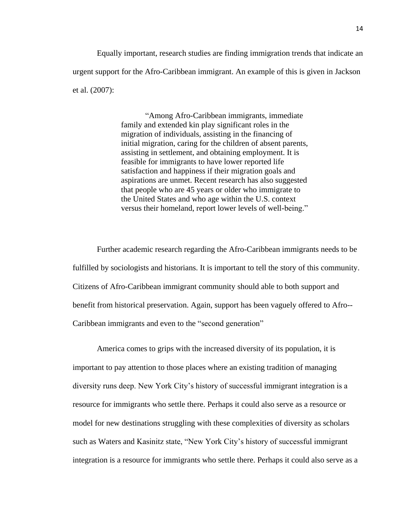Equally important, research studies are finding immigration trends that indicate an urgent support for the Afro-Caribbean immigrant. An example of this is given in Jackson et al. (2007):

> "Among Afro-Caribbean immigrants, immediate family and extended kin play significant roles in the migration of individuals, assisting in the financing of initial migration, caring for the children of absent parents, assisting in settlement, and obtaining employment. It is feasible for immigrants to have lower reported life satisfaction and happiness if their migration goals and aspirations are unmet. Recent research has also suggested that people who are 45 years or older who immigrate to the United States and who age within the U.S. context versus their homeland, report lower levels of well-being."

Further academic research regarding the Afro-Caribbean immigrants needs to be fulfilled by sociologists and historians. It is important to tell the story of this community. Citizens of Afro-Caribbean immigrant community should able to both support and benefit from historical preservation. Again, support has been vaguely offered to Afro-- Caribbean immigrants and even to the "second generation"

America comes to grips with the increased diversity of its population, it is important to pay attention to those places where an existing tradition of managing diversity runs deep. New York City's history of successful immigrant integration is a resource for immigrants who settle there. Perhaps it could also serve as a resource or model for new destinations struggling with these complexities of diversity as scholars such as Waters and Kasinitz state, "New York City's history of successful immigrant integration is a resource for immigrants who settle there. Perhaps it could also serve as a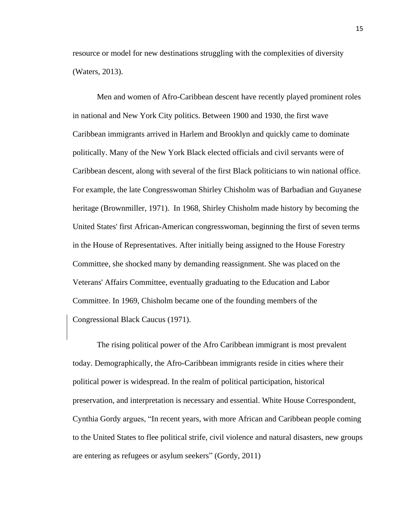resource or model for new destinations struggling with the complexities of diversity (Waters, 2013).

Men and women of Afro-Caribbean descent have recently played prominent roles in national and New York City politics. Between 1900 and 1930, the first wave Caribbean immigrants arrived in Harlem and Brooklyn and quickly came to dominate politically. Many of the New York Black elected officials and civil servants were of Caribbean descent, along with several of the first Black politicians to win national office. For example, the late Congresswoman Shirley Chisholm was of Barbadian and Guyanese heritage (Brownmiller, 1971). In 1968, Shirley Chisholm made history by becoming the United States' first African-American congresswoman, beginning the first of seven terms in the House of Representatives. After initially being assigned to the House Forestry Committee, she shocked many by demanding reassignment. She was placed on the Veterans' Affairs Committee, eventually graduating to the Education and Labor Committee. In 1969, Chisholm became one of the founding members of the Congressional Black Caucus (1971).

The rising political power of the Afro Caribbean immigrant is most prevalent today. Demographically, the Afro-Caribbean immigrants reside in cities where their political power is widespread. In the realm of political participation, historical preservation, and interpretation is necessary and essential. White House Correspondent, Cynthia Gordy argues, "In recent years, with more African and Caribbean people coming to the United States to flee political strife, civil violence and natural disasters, new groups are entering as refugees or asylum seekers" (Gordy, 2011)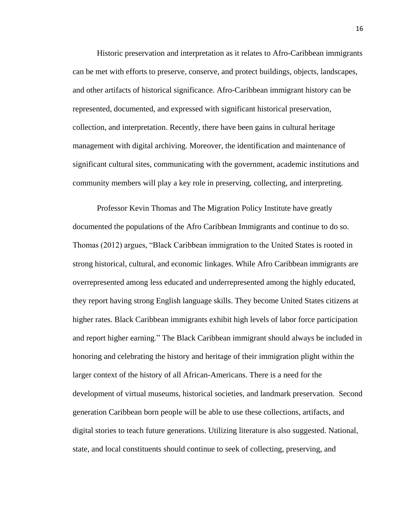Historic preservation and interpretation as it relates to Afro-Caribbean immigrants can be met with efforts to preserve, conserve, and protect buildings, objects, landscapes, and other artifacts of historical significance. Afro-Caribbean immigrant history can be represented, documented, and expressed with significant historical preservation, collection, and interpretation. Recently, there have been gains in cultural heritage management with digital archiving. Moreover, the identification and maintenance of significant cultural sites, communicating with the government, academic institutions and community members will play a key role in preserving, collecting, and interpreting.

Professor Kevin Thomas and The Migration Policy Institute have greatly documented the populations of the Afro Caribbean Immigrants and continue to do so. Thomas (2012) argues, "Black Caribbean immigration to the United States is rooted in strong historical, cultural, and economic linkages. While Afro Caribbean immigrants are overrepresented among less educated and underrepresented among the highly educated, they report having strong English language skills. They become United States citizens at higher rates. Black Caribbean immigrants exhibit high levels of labor force participation and report higher earning." The Black Caribbean immigrant should always be included in honoring and celebrating the history and heritage of their immigration plight within the larger context of the history of all African-Americans. There is a need for the development of virtual museums, historical societies, and landmark preservation. Second generation Caribbean born people will be able to use these collections, artifacts, and digital stories to teach future generations. Utilizing literature is also suggested. National, state, and local constituents should continue to seek of collecting, preserving, and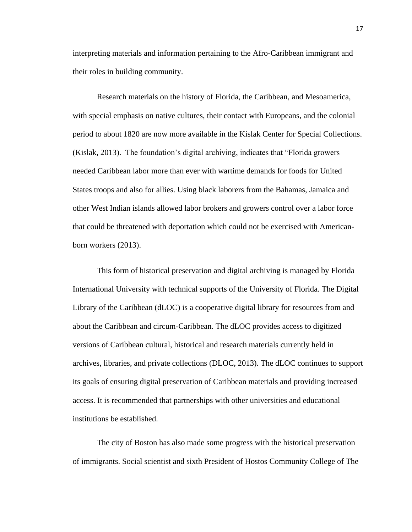interpreting materials and information pertaining to the Afro-Caribbean immigrant and their roles in building community.

Research materials on the history of Florida, the Caribbean, and Mesoamerica, with special emphasis on native cultures, their contact with Europeans, and the colonial period to about 1820 are now more available in the Kislak Center for Special Collections. (Kislak, 2013). The foundation's digital archiving, indicates that "Florida growers needed Caribbean labor more than ever with wartime demands for foods for United States troops and also for allies. Using black laborers from the Bahamas, Jamaica and other West Indian islands allowed labor brokers and growers control over a labor force that could be threatened with deportation which could not be exercised with Americanborn workers (2013).

This form of historical preservation and digital archiving is managed by Florida International University with technical supports of the University of Florida. The Digital Library of the Caribbean (dLOC) is a cooperative digital library for resources from and about the Caribbean and circum-Caribbean. The dLOC provides access to digitized versions of Caribbean cultural, historical and research materials currently held in archives, libraries, and private collections (DLOC, 2013). The dLOC continues to support its goals of ensuring digital preservation of Caribbean materials and providing increased access. It is recommended that partnerships with other universities and educational institutions be established.

The city of Boston has also made some progress with the historical preservation of immigrants. Social scientist and sixth President of Hostos Community College of The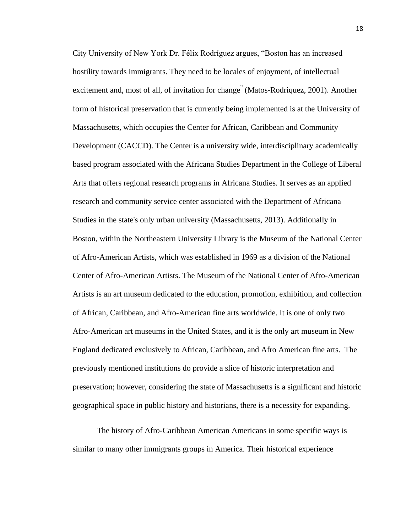City University of New York Dr. Félix Rodríguez argues, "Boston has an increased hostility towards immigrants. They need to be locales of enjoyment, of intellectual excitement and, most of all, of invitation for change<sup>"</sup> (Matos-Rodriquez, 2001). Another form of historical preservation that is currently being implemented is at the University of Massachusetts, which occupies the Center for African, Caribbean and Community Development (CACCD). The Center is a university wide, interdisciplinary academically based program associated with the Africana Studies Department in the College of Liberal Arts that offers regional research programs in Africana Studies. It serves as an applied research and community service center associated with the Department of Africana Studies in the state's only urban university (Massachusetts, 2013). Additionally in Boston, within the Northeastern University Library is the Museum of the National Center of Afro-American Artists, which was established in 1969 as a division of the National Center of Afro-American Artists. The Museum of the National Center of Afro-American Artists is an art museum dedicated to the education, promotion, exhibition, and collection of African, Caribbean, and Afro-American fine arts worldwide. It is one of only two Afro-American art museums in the United States, and it is the only art museum in New England dedicated exclusively to African, Caribbean, and Afro American fine arts. The previously mentioned institutions do provide a slice of historic interpretation and preservation; however, considering the state of Massachusetts is a significant and historic geographical space in public history and historians, there is a necessity for expanding.

The history of Afro-Caribbean American Americans in some specific ways is similar to many other immigrants groups in America. Their historical experience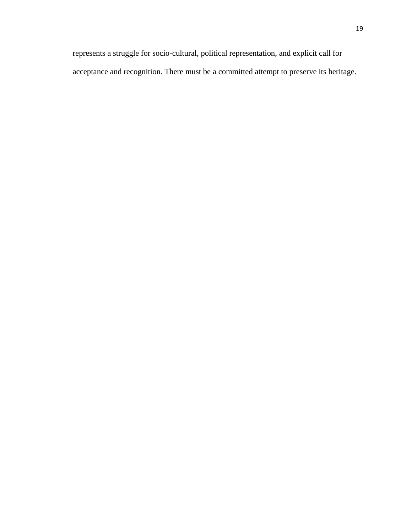represents a struggle for socio-cultural, political representation, and explicit call for acceptance and recognition. There must be a committed attempt to preserve its heritage.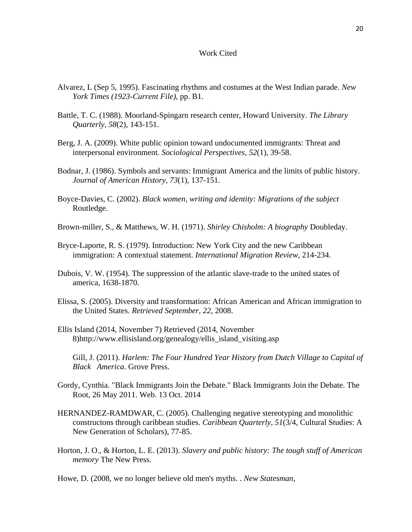#### Work Cited

- Alvarez, L (Sep 5, 1995). Fascinating rhythms and costumes at the West Indian parade. *New York Times (1923-Current File)*, pp. B1.
- Battle, T. C. (1988). Moorland-Spingarn research center, Howard University. *The Library Quarterly, 58*(2), 143-151.
- Berg, J. A. (2009). White public opinion toward undocumented immigrants: Threat and interpersonal environment. *Sociological Perspectives, 52*(1), 39-58.
- Bodnar, J. (1986). Symbols and servants: Immigrant America and the limits of public history. *Journal of American History, 73*(1), 137-151.
- Boyce-Davies, C. (2002). *Black women, writing and identity: Migrations of the subject* Routledge.
- Brown-miller, S., & Matthews, W. H. (1971). *Shirley Chisholm: A biography* Doubleday.
- Bryce-Laporte, R. S. (1979). Introduction: New York City and the new Caribbean immigration: A contextual statement. *International Migration Review,* 214-234.
- Dubois, V. W. (1954). The suppression of the atlantic slave-trade to the united states of america, 1638-1870.
- Elissa, S. (2005). Diversity and transformation: African American and African immigration to the United States. *Retrieved September, 22*, 2008.
- Ellis Island (2014, November 7) Retrieved (2014, November 8)http://www.ellisisland.org/genealogy/ellis\_island\_visiting.asp
	- Gill, J. (2011). *Harlem: The Four Hundred Year History from Dutch Village to Capital of Black America*. Grove Press.
- Gordy, Cynthia. "Black Immigrants Join the Debate." Black Immigrants Join the Debate. The Root, 26 May 2011. Web. 13 Oct. 2014
- HERNANDEZ-RAMDWAR, C. (2005). Challenging negative stereotyping and monolithic constructons through caribbean studies. *Caribbean Quarterly, 51*(3/4, Cultural Studies: A New Generation of Scholars), 77-85.
- Horton, J. O., & Horton, L. E. (2013). *Slavery and public history: The tough stuff of American memory* The New Press.
- Howe, D. (2008, we no longer believe old men's myths. . *New Statesman,*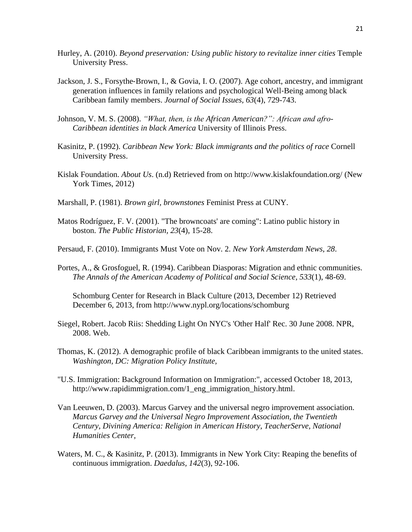- Hurley, A. (2010). *Beyond preservation: Using public history to revitalize inner cities* Temple University Press.
- Jackson, J. S., Forsythe‐Brown, I., & Govia, I. O. (2007). Age cohort, ancestry, and immigrant generation influences in family relations and psychological Well‐Being among black Caribbean family members. *Journal of Social Issues, 63*(4), 729-743.
- Johnson, V. M. S. (2008). *"What, then, is the African American?": African and afro-Caribbean identities in black America* University of Illinois Press.
- Kasinitz, P. (1992). *Caribbean New York: Black immigrants and the politics of race* Cornell University Press.
- Kislak Foundation. *About Us*. (n.d) Retrieved from on http://www.kislakfoundation.org/ (New York Times, 2012)
- Marshall, P. (1981). *Brown girl, brownstones* Feminist Press at CUNY.
- Matos Rodríguez, F. V. (2001). "The browncoats' are coming": Latino public history in boston. *The Public Historian, 23*(4), 15-28.
- Persaud, F. (2010). Immigrants Must Vote on Nov. 2. *New York Amsterdam News*, *28*.
- Portes, A., & Grosfoguel, R. (1994). Caribbean Diasporas: Migration and ethnic communities. *The Annals of the American Academy of Political and Social Science, 533*(1), 48-69.

Schomburg Center for Research in Black Culture (2013, December 12) Retrieved December 6, 2013, from http://www.nypl.org/locations/schomburg

- Siegel, Robert. Jacob Riis: Shedding Light On NYC's 'Other Half' Rec. 30 June 2008. NPR, 2008. Web.
- Thomas, K. (2012). A demographic profile of black Caribbean immigrants to the united states. *Washington, DC: Migration Policy Institute,*
- "U.S. Immigration: Background Information on Immigration:", accessed October 18, 2013, http://www.rapidimmigration.com/1\_eng\_immigration\_history.html.
- Van Leeuwen, D. (2003). Marcus Garvey and the universal negro improvement association. *Marcus Garvey and the Universal Negro Improvement Association, the Twentieth Century, Divining America: Religion in American History, TeacherServe, National Humanities Center,*
- Waters, M. C., & Kasinitz, P. (2013). Immigrants in New York City: Reaping the benefits of continuous immigration. *Daedalus, 142*(3), 92-106.